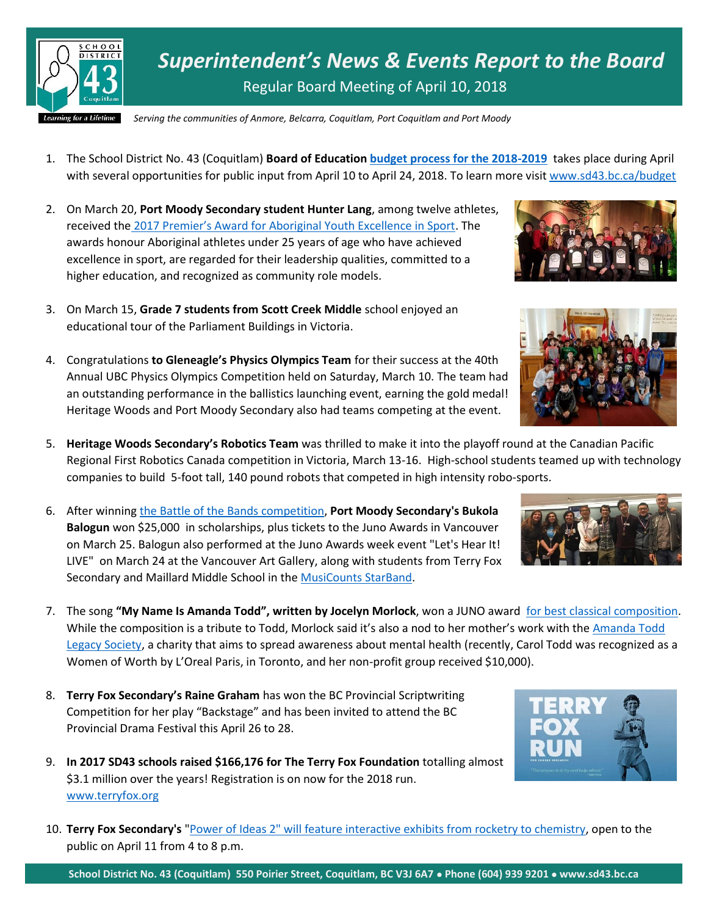

*Superintendent's News & Events Report to the Board* Regular Board Meeting of April 10, 2018

*Serving the communities of Anmore, Belcarra, Coquitlam, Port Coquitlam and Port Moody*

- 1. The School District No. 43 (Coquitlam) **Board of Education [budget process for the 2018-2019](http://www.sd43.bc.ca/budget/Pages/Budget2018-2019.aspx)** takes place during April with several opportunities for public input from April 10 to April 24, 2018. To learn more visit [www.sd43.bc.ca/](http://www.sd43.bc.ca/)budget
- 2. On March 20, **Port Moody Secondary student Hunter Lang**, among twelve athletes, received the [2017 Premier's Award for Aboriginal Youth Excellence in Sport](https://www.sd43.bc.ca/Pages/newsitem.aspx?ItemID=158&ListID=c4134e88-bc0d-484f-9d4d-93c69db7f94f&TemplateID=Announcement_Item&). The awards honour Aboriginal athletes under 25 years of age who have achieved excellence in sport, are regarded for their leadership qualities, committed to a higher education, and recognized as community role models.
- 3. On March 15, **Grade 7 students from Scott Creek Middle** school enjoyed an educational tour of the Parliament Buildings in Victoria.
- 4. Congratulations **to Gleneagle's Physics Olympics Team** for their success at the 40th Annual UBC Physics Olympics Competition held on Saturday, March 10. The team had an outstanding performance in the ballistics launching event, earning the gold medal! Heritage Woods and Port Moody Secondary also had teams competing at the event.
- 5. **Heritage Woods Secondary's Robotics Team** was thrilled to make it into the playoff round at the Canadian Pacific Regional First Robotics Canada competition in Victoria, March 13-16. High-school students teamed up with technology companies to build 5-foot tall, 140 pound robots that competed in high intensity robo-sports.
- 6. After winnin[g the Battle of the Bands competition,](http://www.tricitynews.com/entertainment/pomo-student-wins-juno-band-battle-1.23199900) **Port Moody Secondary's Bukola Balogun** won \$25,000 in scholarships, plus tickets to the Juno Awards in Vancouver on March 25. Balogun also performed at the Juno Awards week event "Let's Hear It! LIVE" on March 24 at the Vancouver Art Gallery, along with students from Terry Fox Secondary and Maillard Middle School in the [MusiCounts StarBand.](https://www.facebook.com/events/963277390503848/?acontext=%7b%22source%22:3%2c%22source_newsfeed_story_type%22:%22regular%22%2c%22action_history%22:%22%5b%7b%5c%22surface%5c%22:%5c%22newsfeed%5c%22%2c%5c%22mechanism%5c%22:%5c%22feed_story%5c%22%2c%5c%22extra_data%5c%22:%5b%5d%7d%5d%22%2c%22has_source%22:true%7d&source=3&source_newsfeed_story_type=regular&action_history=%5b%7b%22surface%22:%22newsfeed%22%2c%22mechanism%22:%22feed_story%22%2c%22extra_data%22:%5b%5d%7d%5d&has_source=1&fref=mentions)
- 7. The song **"My Name Is Amanda Todd", written by Jocelyn Morlock**, won a JUNO award [for best classical composition.](http://www.tricitynews.com/entertainment/music-about-late-poco-teen-up-for-a-juno-1.23199905) While the composition is a tribute to Todd, Morlock said it's also a nod to her mother's work with the Amanda Todd [Legacy Society,](http://www.amandatoddlegacy.org/) a charity that aims to spread awareness about mental health (recently, Carol Todd was recognized as a Women of Worth by L'Oreal Paris, in Toronto, and her non-profit group received \$10,000).
- 8. **Terry Fox Secondary's Raine Graham** has won the BC Provincial Scriptwriting Competition for her play "Backstage" and has been invited to attend the BC Provincial Drama Festival this April 26 to 28.
- 9. **In 2017 SD43 schools raised \$166,176 for The Terry Fox Foundation** totalling almost \$3.1 million over the years! Registration is on now for the 2018 run. [www.terryfox.org](http://www.terryfox.org/)
- 10. **Terry Fox Secondary's** ["Power of Ideas 2" will feature interactive exhibits from rocketry to chemistry,](http://www.tricitynews.com/community/port-coquitlam-school-bringing-science-to-mainstream-1.23206249) open to the public on April 11 from 4 to 8 p.m.